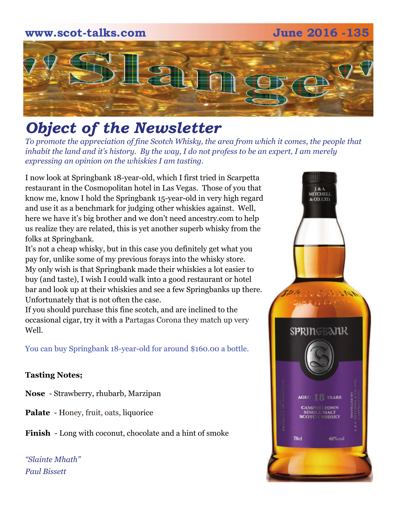## **www.scot-talks.com June 2016 -135** 1211

### *Object of the Newsletter*

*To promote the appreciation of fine Scotch Whisky, the area from which it comes, the people that inhabit the land and it's history. By the way, I do not profess to be an expert, I am merely expressing an opinion on the whiskies I am tasting.* 

I now look at Springbank 18-year-old, which I first tried in Scarpetta restaurant in the Cosmopolitan hotel in Las Vegas. Those of you that know me, know I hold the Springbank 15-year-old in very high regard and use it as a benchmark for judging other whiskies against. Well, here we have it's big brother and we don't need ancestry.com to help us realize they are related, this is yet another superb whisky from the folks at Springbank.

It's not a cheap whisky, but in this case you definitely get what you pay for, unlike some of my previous forays into the whisky store. My only wish is that Springbank made their whiskies a lot easier to buy (and taste), I wish I could walk into a good restaurant or hotel bar and look up at their whiskies and see a few Springbanks up there. Unfortunately that is not often the case.

If you should purchase this fine scotch, and are inclined to the occasional cigar, try it with a Partagas Corona they match up very Well.

You can buy Springbank 18-year-old for around \$160.00 a bottle.

### **Tasting Notes;**

- **Nose**  Strawberry, rhubarb, Marzipan
- **Palate**  Honey, fruit, oats, liquorice
- **Finish**  Long with coconut, chocolate and a hint of smoke

*"Slainte Mhath" Paul Bissett*

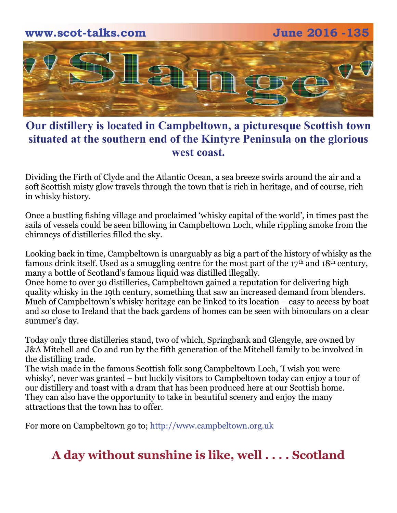

### **Our distillery is located in Campbeltown, a picturesque Scottish town situated at the southern end of the Kintyre Peninsula on the glorious west coast.**

Dividing the Firth of Clyde and the Atlantic Ocean, a sea breeze swirls around the air and a soft Scottish misty glow travels through the town that is rich in heritage, and of course, rich in whisky history.

Once a bustling fishing village and proclaimed 'whisky capital of the world', in times past the sails of vessels could be seen billowing in Campbeltown Loch, while rippling smoke from the chimneys of distilleries filled the sky.

Looking back in time, Campbeltown is unarguably as big a part of the history of whisky as the famous drink itself. Used as a smuggling centre for the most part of the 17<sup>th</sup> and 18<sup>th</sup> century, many a bottle of Scotland's famous liquid was distilled illegally.

Once home to over 30 distilleries, Campbeltown gained a reputation for delivering high quality whisky in the 19th century, something that saw an increased demand from blenders. Much of Campbeltown's whisky heritage can be linked to its location – easy to access by boat and so close to Ireland that the back gardens of homes can be seen with binoculars on a clear summer's day.

Today only three distilleries stand, two of which, Springbank and Glengyle, are owned by J&A Mitchell and Co and run by the fifth generation of the Mitchell family to be involved in the distilling trade.

The wish made in the famous Scottish folk song Campbeltown Loch, 'I wish you were whisky', never was granted – but luckily visitors to Campbeltown today can enjoy a tour of our distillery and toast with a dram that has been produced here at our Scottish home. They can also have the opportunity to take in beautiful scenery and enjoy the many attractions that the town has to offer.

For more on Campbeltown go to; http://www.campbeltown.org.uk

### **A day without sunshine is like, well . . . . Scotland**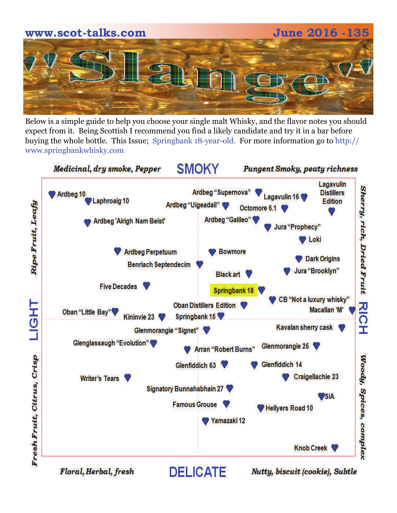# **www.scot-talks.com June 2016 -135**

Below is a simple guide to help you choose your single malt Whisky, and the flavor notes you should expect from it. Being Scottish I recommend you find a likely candidate and try it in a bar before buying the whole bottle. This Issue; Springbank 18-year-old. For more information go to http:// www.springbankwhisky.com



Floral, Herbal, fresh

Nutty, biscuit (cookie), Subtle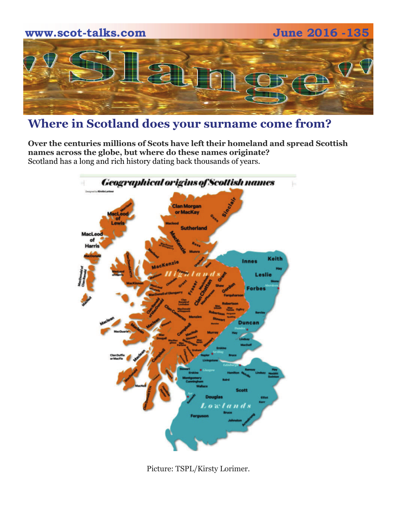

### **Where in Scotland does your surname come from?**

**Over the centuries millions of Scots have left their homeland and spread Scottish names across the globe, but where do these names originate?**  Scotland has a long and rich history dating back thousands of years.



Picture: TSPL/Kirsty Lorimer.